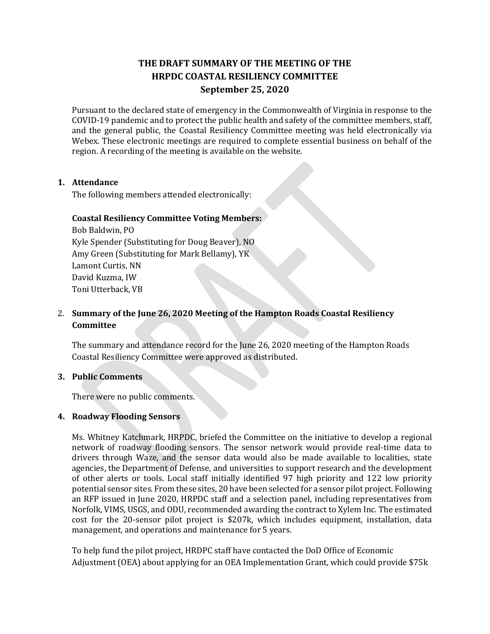# **THE DRAFT SUMMARY OF THE MEETING OF THE HRPDC COASTAL RESILIENCY COMMITTEE September 25, 2020**

Pursuant to the declared state of emergency in the Commonwealth of Virginia in response to the COVID-19 pandemic and to protect the public health and safety of the committee members, staff, and the general public, the Coastal Resiliency Committee meeting was held electronically via Webex. These electronic meetings are required to complete essential business on behalf of the region. A recording of the meeting is available on the website.

# **1. Attendance**

The following members attended electronically:

### **Coastal Resiliency Committee Voting Members:**

Bob Baldwin, PO Kyle Spender (Substituting for Doug Beaver), NO Amy Green (Substituting for Mark Bellamy), YK Lamont Curtis, NN David Kuzma, IW Toni Utterback, VB

# 2. **Summary of the June 26, 2020 Meeting of the Hampton Roads Coastal Resiliency Committee**

The summary and attendance record for the June 26, 2020 meeting of the Hampton Roads Coastal Resiliency Committee were approved as distributed.

#### **3. Public Comments**

There were no public comments.

#### **4. Roadway Flooding Sensors**

Ms. Whitney Katchmark, HRPDC, briefed the Committee on the initiative to develop a regional network of roadway flooding sensors. The sensor network would provide real-time data to drivers through Waze, and the sensor data would also be made available to localities, state agencies, the Department of Defense, and universities to support research and the development of other alerts or tools. Local staff initially identified 97 high priority and 122 low priority potential sensor sites. From these sites, 20 have been selected for a sensor pilot project. Following an RFP issued in June 2020, HRPDC staff and a selection panel, including representatives from Norfolk, VIMS, USGS, and ODU, recommended awarding the contract to Xylem Inc. The estimated cost for the 20-sensor pilot project is \$207k, which includes equipment, installation, data management, and operations and maintenance for 5 years.

To help fund the pilot project, HRDPC staff have contacted the DoD Office of Economic Adjustment (OEA) about applying for an OEA Implementation Grant, which could provide \$75k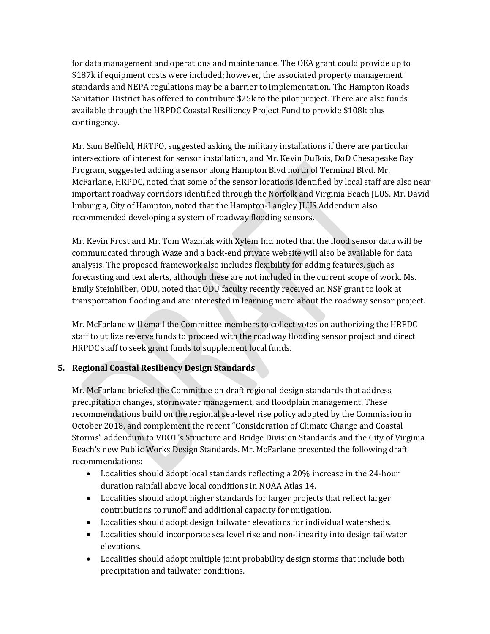for data management and operations and maintenance. The OEA grant could provide up to \$187k if equipment costs were included; however, the associated property management standards and NEPA regulations may be a barrier to implementation. The Hampton Roads Sanitation District has offered to contribute \$25k to the pilot project. There are also funds available through the HRPDC Coastal Resiliency Project Fund to provide \$108k plus contingency.

Mr. Sam Belfield, HRTPO, suggested asking the military installations if there are particular intersections of interest for sensor installation, and Mr. Kevin DuBois, DoD Chesapeake Bay Program, suggested adding a sensor along Hampton Blvd north of Terminal Blvd. Mr. McFarlane, HRPDC, noted that some of the sensor locations identified by local staff are also near important roadway corridors identified through the Norfolk and Virginia Beach JLUS. Mr. David Imburgia, City of Hampton, noted that the Hampton-Langley JLUS Addendum also recommended developing a system of roadway flooding sensors.

Mr. Kevin Frost and Mr. Tom Wazniak with Xylem Inc. noted that the flood sensor data will be communicated through Waze and a back-end private website will also be available for data analysis. The proposed framework also includes flexibility for adding features, such as forecasting and text alerts, although these are not included in the current scope of work. Ms. Emily Steinhilber, ODU, noted that ODU faculty recently received an NSF grant to look at transportation flooding and are interested in learning more about the roadway sensor project.

Mr. McFarlane will email the Committee members to collect votes on authorizing the HRPDC staff to utilize reserve funds to proceed with the roadway flooding sensor project and direct HRPDC staff to seek grant funds to supplement local funds.

# **5. Regional Coastal Resiliency Design Standards**

Mr. McFarlane briefed the Committee on draft regional design standards that address precipitation changes, stormwater management, and floodplain management. These recommendations build on the regional sea-level rise policy adopted by the Commission in October 2018, and complement the recent "Consideration of Climate Change and Coastal Storms" addendum to VDOT's Structure and Bridge Division Standards and the City of Virginia Beach's new Public Works Design Standards. Mr. McFarlane presented the following draft recommendations:

- Localities should adopt local standards reflecting a 20% increase in the 24-hour duration rainfall above local conditions in NOAA Atlas 14.
- Localities should adopt higher standards for larger projects that reflect larger contributions to runoff and additional capacity for mitigation.
- Localities should adopt design tailwater elevations for individual watersheds.
- Localities should incorporate sea level rise and non-linearity into design tailwater elevations.
- Localities should adopt multiple joint probability design storms that include both precipitation and tailwater conditions.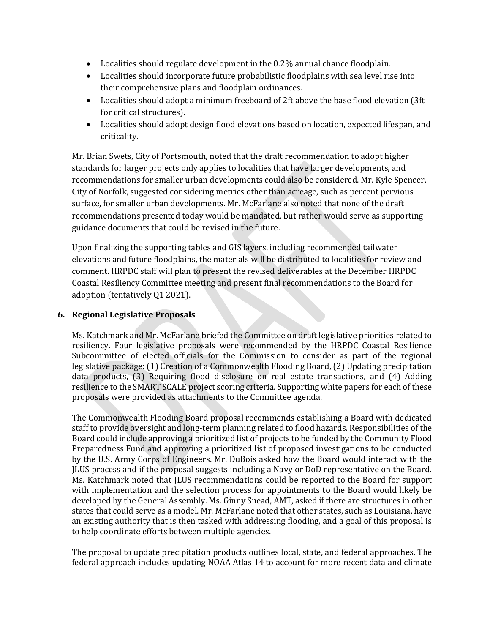- Localities should regulate development in the 0.2% annual chance floodplain.
- Localities should incorporate future probabilistic floodplains with sea level rise into their comprehensive plans and floodplain ordinances.
- Localities should adopt a minimum freeboard of 2ft above the base flood elevation (3ft for critical structures).
- Localities should adopt design flood elevations based on location, expected lifespan, and criticality.

Mr. Brian Swets, City of Portsmouth, noted that the draft recommendation to adopt higher standards for larger projects only applies to localities that have larger developments, and recommendations for smaller urban developments could also be considered. Mr. Kyle Spencer, City of Norfolk, suggested considering metrics other than acreage, such as percent pervious surface, for smaller urban developments. Mr. McFarlane also noted that none of the draft recommendations presented today would be mandated, but rather would serve as supporting guidance documents that could be revised in the future.

Upon finalizing the supporting tables and GIS layers, including recommended tailwater elevations and future floodplains, the materials will be distributed to localities for review and comment. HRPDC staff will plan to present the revised deliverables at the December HRPDC Coastal Resiliency Committee meeting and present final recommendations to the Board for adoption (tentatively Q1 2021).

# **6. Regional Legislative Proposals**

Ms. Katchmark and Mr. McFarlane briefed the Committee on draft legislative priorities related to resiliency. Four legislative proposals were recommended by the HRPDC Coastal Resilience Subcommittee of elected officials for the Commission to consider as part of the regional legislative package: (1) Creation of a Commonwealth Flooding Board, (2) Updating precipitation data products, (3) Requiring flood disclosure on real estate transactions, and (4) Adding resilience to the SMART SCALE project scoring criteria. Supporting white papers for each of these proposals were provided as attachments to the Committee agenda.

The Commonwealth Flooding Board proposal recommends establishing a Board with dedicated staff to provide oversight and long-term planning related to flood hazards. Responsibilities of the Board could include approving a prioritized list of projects to be funded by the Community Flood Preparedness Fund and approving a prioritized list of proposed investigations to be conducted by the U.S. Army Corps of Engineers. Mr. DuBois asked how the Board would interact with the JLUS process and if the proposal suggests including a Navy or DoD representative on the Board. Ms. Katchmark noted that JLUS recommendations could be reported to the Board for support with implementation and the selection process for appointments to the Board would likely be developed by the General Assembly. Ms. Ginny Snead, AMT, asked if there are structures in other states that could serve as a model. Mr. McFarlane noted that other states, such as Louisiana, have an existing authority that is then tasked with addressing flooding, and a goal of this proposal is to help coordinate efforts between multiple agencies.

The proposal to update precipitation products outlines local, state, and federal approaches. The federal approach includes updating NOAA Atlas 14 to account for more recent data and climate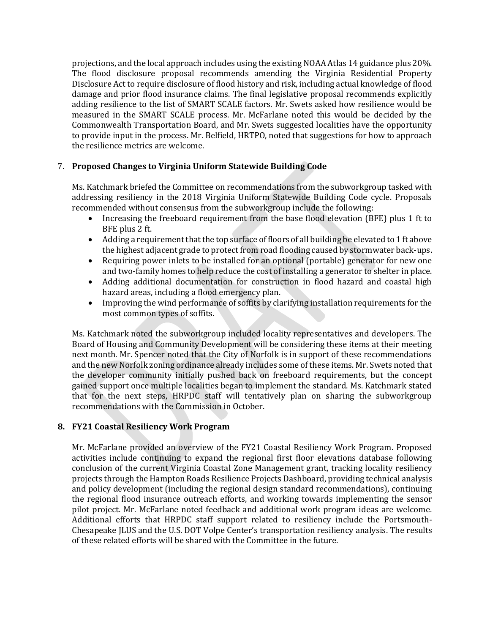projections, and the local approach includes using the existing NOAA Atlas 14 guidance plus 20%. The flood disclosure proposal recommends amending the Virginia Residential Property Disclosure Act to require disclosure of flood history and risk, including actual knowledge of flood damage and prior flood insurance claims. The final legislative proposal recommends explicitly adding resilience to the list of SMART SCALE factors. Mr. Swets asked how resilience would be measured in the SMART SCALE process. Mr. McFarlane noted this would be decided by the Commonwealth Transportation Board, and Mr. Swets suggested localities have the opportunity to provide input in the process. Mr. Belfield, HRTPO, noted that suggestions for how to approach the resilience metrics are welcome.

# 7. **Proposed Changes to Virginia Uniform Statewide Building Code**

Ms. Katchmark briefed the Committee on recommendations from the subworkgroup tasked with addressing resiliency in the 2018 Virginia Uniform Statewide Building Code cycle. Proposals recommended without consensus from the subworkgroup include the following:

- Increasing the freeboard requirement from the base flood elevation (BFE) plus 1 ft to BFE plus 2 ft.
- Adding a requirement that the top surface of floors of all building be elevated to 1 ft above the highest adjacent grade to protect from road flooding caused by stormwater back-ups.
- Requiring power inlets to be installed for an optional (portable) generator for new one and two-family homes to help reduce the cost of installing a generator to shelter in place.
- Adding additional documentation for construction in flood hazard and coastal high hazard areas, including a flood emergency plan.
- Improving the wind performance of soffits by clarifying installation requirements for the most common types of soffits.

Ms. Katchmark noted the subworkgroup included locality representatives and developers. The Board of Housing and Community Development will be considering these items at their meeting next month. Mr. Spencer noted that the City of Norfolk is in support of these recommendations and the new Norfolk zoning ordinance already includes some of these items. Mr. Swets noted that the developer community initially pushed back on freeboard requirements, but the concept gained support once multiple localities began to implement the standard. Ms. Katchmark stated that for the next steps, HRPDC staff will tentatively plan on sharing the subworkgroup recommendations with the Commission in October.

# **8. FY21 Coastal Resiliency Work Program**

Mr. McFarlane provided an overview of the FY21 Coastal Resiliency Work Program. Proposed activities include continuing to expand the regional first floor elevations database following conclusion of the current Virginia Coastal Zone Management grant, tracking locality resiliency projects through the Hampton Roads Resilience Projects Dashboard, providing technical analysis and policy development (including the regional design standard recommendations), continuing the regional flood insurance outreach efforts, and working towards implementing the sensor pilot project. Mr. McFarlane noted feedback and additional work program ideas are welcome. Additional efforts that HRPDC staff support related to resiliency include the Portsmouth-Chesapeake JLUS and the U.S. DOT Volpe Center's transportation resiliency analysis. The results of these related efforts will be shared with the Committee in the future.